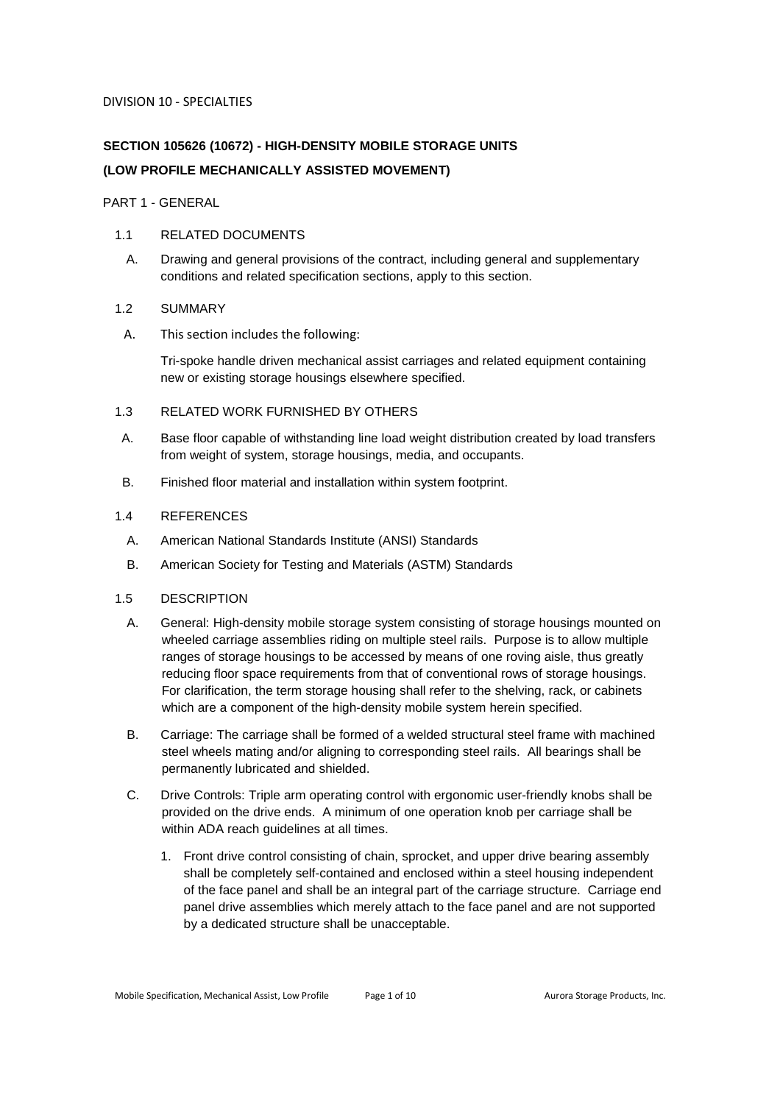# **SECTION 105626 (10672) - HIGH-DENSITY MOBILE STORAGE UNITS (LOW PROFILE MECHANICALLY ASSISTED MOVEMENT)**

PART 1 - GENERAL

# 1.1 RELATED DOCUMENTS

A. Drawing and general provisions of the contract, including general and supplementary conditions and related specification sections, apply to this section.

# 1.2 SUMMARY

A. This section includes the following:

Tri-spoke handle driven mechanical assist carriages and related equipment containing new or existing storage housings elsewhere specified.

# 1.3 RELATED WORK FURNISHED BY OTHERS

- A. Base floor capable of withstanding line load weight distribution created by load transfers from weight of system, storage housings, media, and occupants.
- B. Finished floor material and installation within system footprint.

# 1.4 REFERENCES

- A. American National Standards Institute (ANSI) Standards
- B. American Society for Testing and Materials (ASTM) Standards

# 1.5 DESCRIPTION

- A. General: High-density mobile storage system consisting of storage housings mounted on wheeled carriage assemblies riding on multiple steel rails. Purpose is to allow multiple ranges of storage housings to be accessed by means of one roving aisle, thus greatly reducing floor space requirements from that of conventional rows of storage housings. For clarification, the term storage housing shall refer to the shelving, rack, or cabinets which are a component of the high-density mobile system herein specified.
- B. Carriage: The carriage shall be formed of a welded structural steel frame with machined steel wheels mating and/or aligning to corresponding steel rails. All bearings shall be permanently lubricated and shielded.
- C. Drive Controls: Triple arm operating control with ergonomic user-friendly knobs shall be provided on the drive ends. A minimum of one operation knob per carriage shall be within ADA reach guidelines at all times.
	- 1. Front drive control consisting of chain, sprocket, and upper drive bearing assembly shall be completely self-contained and enclosed within a steel housing independent of the face panel and shall be an integral part of the carriage structure. Carriage end panel drive assemblies which merely attach to the face panel and are not supported by a dedicated structure shall be unacceptable.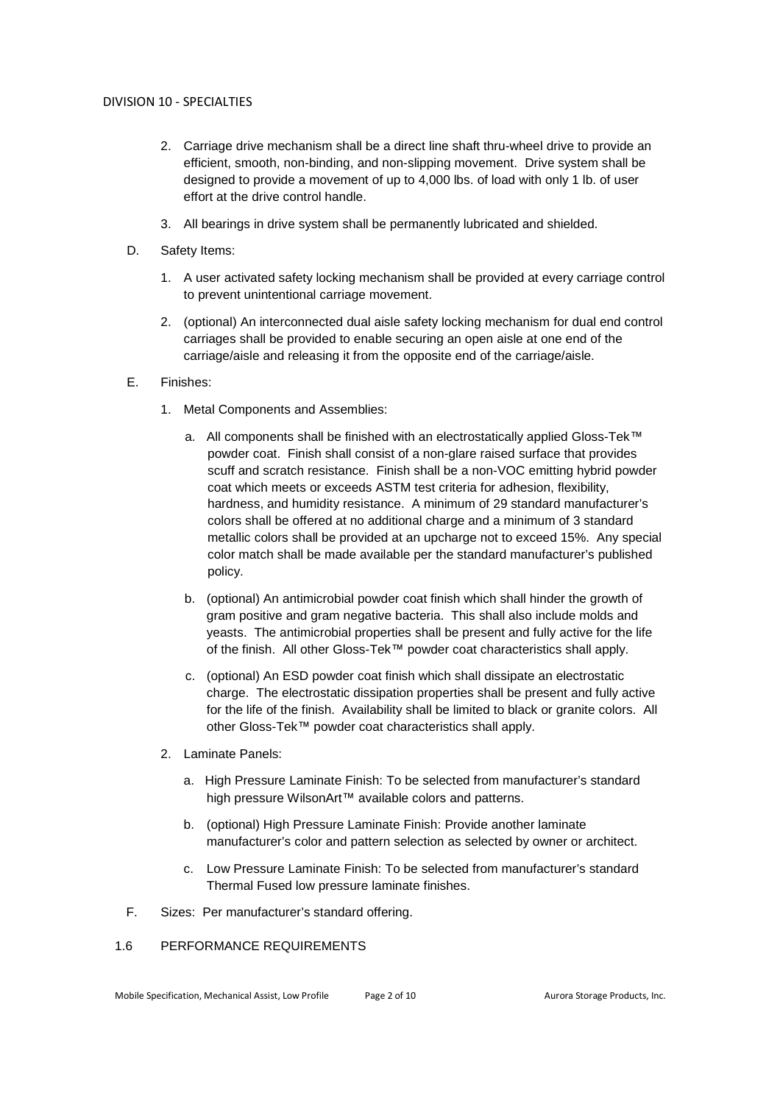- 2. Carriage drive mechanism shall be a direct line shaft thru-wheel drive to provide an efficient, smooth, non-binding, and non-slipping movement. Drive system shall be designed to provide a movement of up to 4,000 lbs. of load with only 1 lb. of user effort at the drive control handle.
- 3. All bearings in drive system shall be permanently lubricated and shielded.
- D. Safety Items:
	- 1. A user activated safety locking mechanism shall be provided at every carriage control to prevent unintentional carriage movement.
	- 2. (optional) An interconnected dual aisle safety locking mechanism for dual end control carriages shall be provided to enable securing an open aisle at one end of the carriage/aisle and releasing it from the opposite end of the carriage/aisle.
- E. Finishes:
	- 1. Metal Components and Assemblies:
		- a. All components shall be finished with an electrostatically applied Gloss-Tek™ powder coat. Finish shall consist of a non-glare raised surface that provides scuff and scratch resistance. Finish shall be a non-VOC emitting hybrid powder coat which meets or exceeds ASTM test criteria for adhesion, flexibility, hardness, and humidity resistance. A minimum of 29 standard manufacturer's colors shall be offered at no additional charge and a minimum of 3 standard metallic colors shall be provided at an upcharge not to exceed 15%. Any special color match shall be made available per the standard manufacturer's published policy.
		- b. (optional) An antimicrobial powder coat finish which shall hinder the growth of gram positive and gram negative bacteria. This shall also include molds and yeasts. The antimicrobial properties shall be present and fully active for the life of the finish. All other Gloss-Tek™ powder coat characteristics shall apply.
		- c. (optional) An ESD powder coat finish which shall dissipate an electrostatic charge. The electrostatic dissipation properties shall be present and fully active for the life of the finish. Availability shall be limited to black or granite colors. All other Gloss-Tek™ powder coat characteristics shall apply.
	- 2. Laminate Panels:
		- a. High Pressure Laminate Finish: To be selected from manufacturer's standard high pressure WilsonArt™ available colors and patterns.
		- b. (optional) High Pressure Laminate Finish: Provide another laminate manufacturer's color and pattern selection as selected by owner or architect.
		- c. Low Pressure Laminate Finish: To be selected from manufacturer's standard Thermal Fused low pressure laminate finishes.
- F. Sizes: Per manufacturer's standard offering.

## 1.6 PERFORMANCE REQUIREMENTS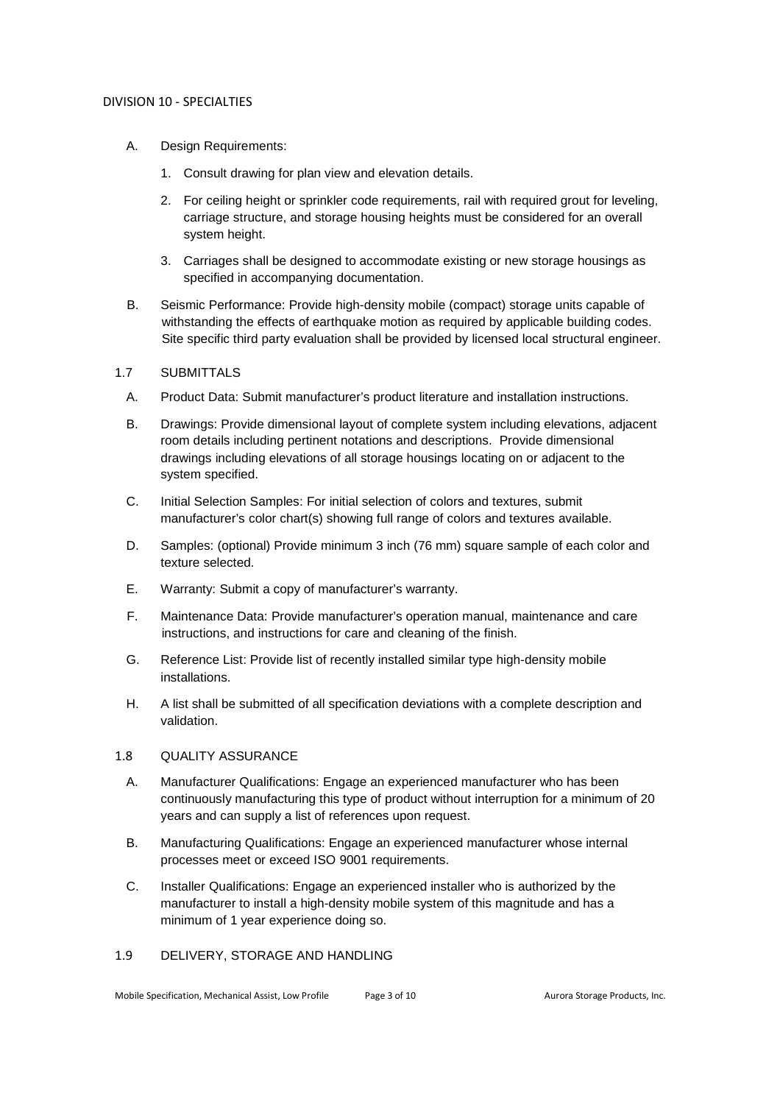- A. Design Requirements:
	- 1. Consult drawing for plan view and elevation details.
	- 2. For ceiling height or sprinkler code requirements, rail with required grout for leveling, carriage structure, and storage housing heights must be considered for an overall system height.
	- 3. Carriages shall be designed to accommodate existing or new storage housings as specified in accompanying documentation.
- B. Seismic Performance: Provide high-density mobile (compact) storage units capable of withstanding the effects of earthquake motion as required by applicable building codes. Site specific third party evaluation shall be provided by licensed local structural engineer.

## 1.7 SUBMITTALS

- A. Product Data: Submit manufacturer's product literature and installation instructions.
- B. Drawings: Provide dimensional layout of complete system including elevations, adjacent room details including pertinent notations and descriptions. Provide dimensional drawings including elevations of all storage housings locating on or adjacent to the system specified.
- C. Initial Selection Samples: For initial selection of colors and textures, submit manufacturer's color chart(s) showing full range of colors and textures available.
- D. Samples: (optional) Provide minimum 3 inch (76 mm) square sample of each color and texture selected.
- E. Warranty: Submit a copy of manufacturer's warranty.
- F. Maintenance Data: Provide manufacturer's operation manual, maintenance and care instructions, and instructions for care and cleaning of the finish.
- G. Reference List: Provide list of recently installed similar type high-density mobile installations.
- H. A list shall be submitted of all specification deviations with a complete description and validation.

## 1.8 QUALITY ASSURANCE

- A. Manufacturer Qualifications: Engage an experienced manufacturer who has been continuously manufacturing this type of product without interruption for a minimum of 20 years and can supply a list of references upon request.
- B. Manufacturing Qualifications: Engage an experienced manufacturer whose internal processes meet or exceed ISO 9001 requirements.
- C. Installer Qualifications: Engage an experienced installer who is authorized by the manufacturer to install a high-density mobile system of this magnitude and has a minimum of 1 year experience doing so.

# 1.9 DELIVERY, STORAGE AND HANDLING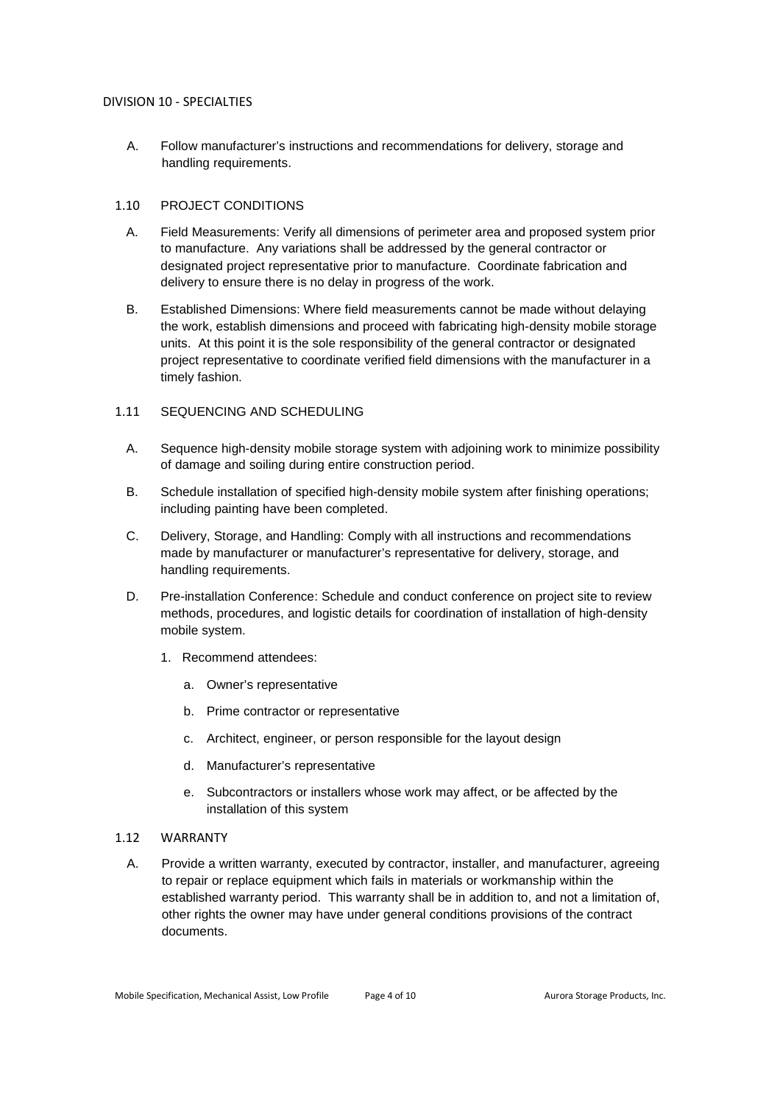A. Follow manufacturer's instructions and recommendations for delivery, storage and handling requirements.

## 1.10 PROJECT CONDITIONS

- A. Field Measurements: Verify all dimensions of perimeter area and proposed system prior to manufacture. Any variations shall be addressed by the general contractor or designated project representative prior to manufacture. Coordinate fabrication and delivery to ensure there is no delay in progress of the work.
- B. Established Dimensions: Where field measurements cannot be made without delaying the work, establish dimensions and proceed with fabricating high-density mobile storage units. At this point it is the sole responsibility of the general contractor or designated project representative to coordinate verified field dimensions with the manufacturer in a timely fashion.

## 1.11 SEQUENCING AND SCHEDULING

- A. Sequence high-density mobile storage system with adjoining work to minimize possibility of damage and soiling during entire construction period.
- B. Schedule installation of specified high-density mobile system after finishing operations; including painting have been completed.
- C. Delivery, Storage, and Handling: Comply with all instructions and recommendations made by manufacturer or manufacturer's representative for delivery, storage, and handling requirements.
- D. Pre-installation Conference: Schedule and conduct conference on project site to review methods, procedures, and logistic details for coordination of installation of high-density mobile system.
	- 1. Recommend attendees:
		- a. Owner's representative
		- b. Prime contractor or representative
		- c. Architect, engineer, or person responsible for the layout design
		- d. Manufacturer's representative
		- e. Subcontractors or installers whose work may affect, or be affected by the installation of this system

## 1.12 WARRANTY

A. Provide a written warranty, executed by contractor, installer, and manufacturer, agreeing to repair or replace equipment which fails in materials or workmanship within the established warranty period. This warranty shall be in addition to, and not a limitation of, other rights the owner may have under general conditions provisions of the contract documents.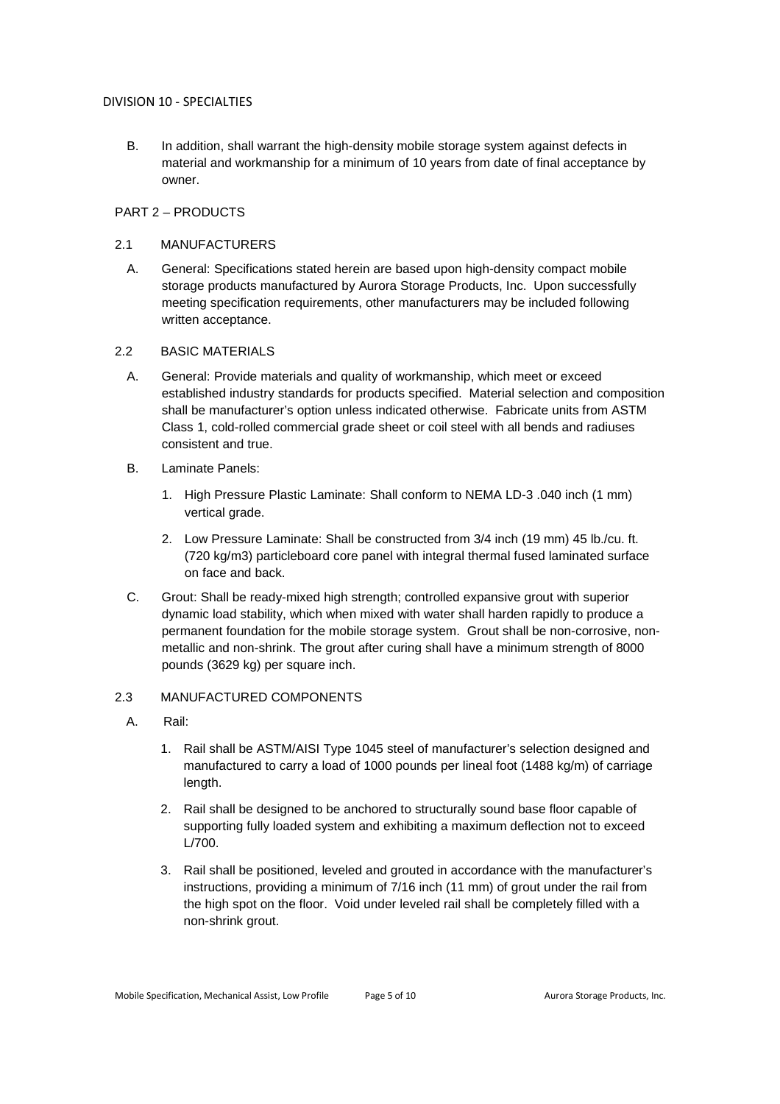B. In addition, shall warrant the high-density mobile storage system against defects in material and workmanship for a minimum of 10 years from date of final acceptance by owner.

## PART 2 – PRODUCTS

## 2.1 MANUFACTURERS

A. General: Specifications stated herein are based upon high-density compact mobile storage products manufactured by Aurora Storage Products, Inc. Upon successfully meeting specification requirements, other manufacturers may be included following written acceptance.

# 2.2 BASIC MATERIALS

- A. General: Provide materials and quality of workmanship, which meet or exceed established industry standards for products specified. Material selection and composition shall be manufacturer's option unless indicated otherwise. Fabricate units from ASTM Class 1, cold-rolled commercial grade sheet or coil steel with all bends and radiuses consistent and true.
- B. Laminate Panels:
	- 1. High Pressure Plastic Laminate: Shall conform to NEMA LD-3 .040 inch (1 mm) vertical grade.
	- 2. Low Pressure Laminate: Shall be constructed from 3/4 inch (19 mm) 45 lb./cu. ft. (720 kg/m3) particleboard core panel with integral thermal fused laminated surface on face and back.
- C. Grout: Shall be ready-mixed high strength; controlled expansive grout with superior dynamic load stability, which when mixed with water shall harden rapidly to produce a permanent foundation for the mobile storage system. Grout shall be non-corrosive, nonmetallic and non-shrink. The grout after curing shall have a minimum strength of 8000 pounds (3629 kg) per square inch.

# 2.3 MANUFACTURED COMPONENTS

- A. Rail:
	- 1. Rail shall be ASTM/AISI Type 1045 steel of manufacturer's selection designed and manufactured to carry a load of 1000 pounds per lineal foot (1488 kg/m) of carriage length.
	- 2. Rail shall be designed to be anchored to structurally sound base floor capable of supporting fully loaded system and exhibiting a maximum deflection not to exceed L/700.
	- 3. Rail shall be positioned, leveled and grouted in accordance with the manufacturer's instructions, providing a minimum of 7/16 inch (11 mm) of grout under the rail from the high spot on the floor. Void under leveled rail shall be completely filled with a non-shrink grout.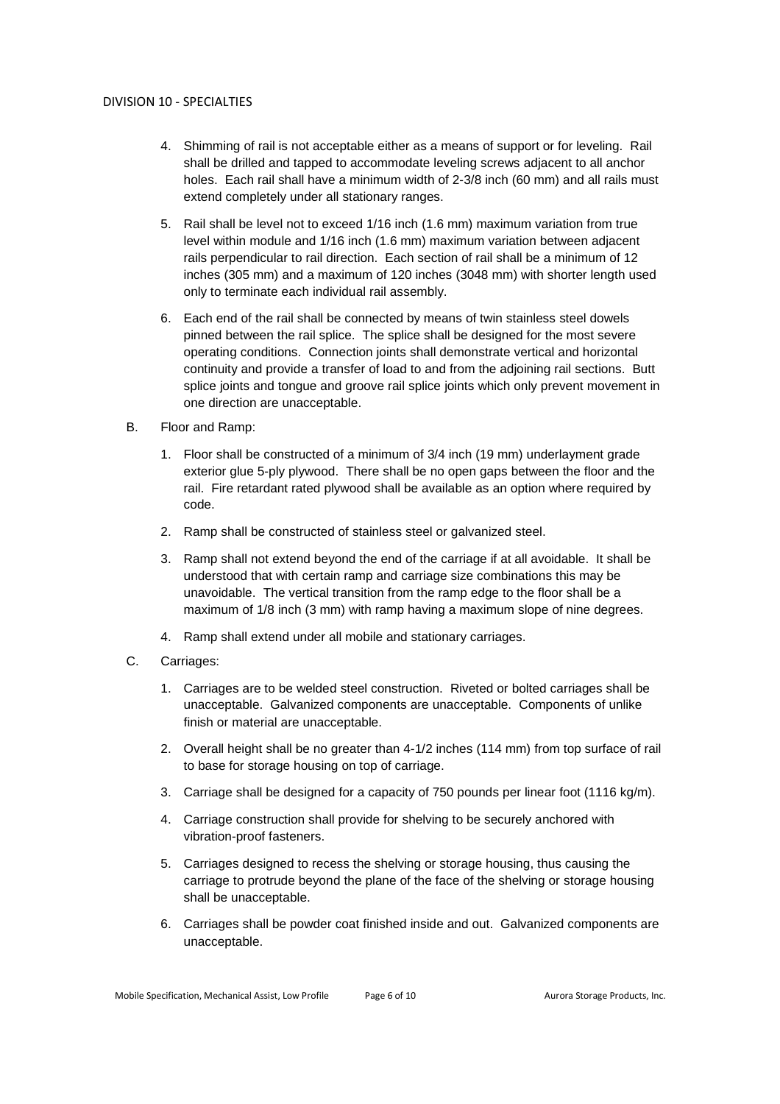- 4. Shimming of rail is not acceptable either as a means of support or for leveling. Rail shall be drilled and tapped to accommodate leveling screws adjacent to all anchor holes. Each rail shall have a minimum width of 2-3/8 inch (60 mm) and all rails must extend completely under all stationary ranges.
- 5. Rail shall be level not to exceed 1/16 inch (1.6 mm) maximum variation from true level within module and 1/16 inch (1.6 mm) maximum variation between adjacent rails perpendicular to rail direction. Each section of rail shall be a minimum of 12 inches (305 mm) and a maximum of 120 inches (3048 mm) with shorter length used only to terminate each individual rail assembly.
- 6. Each end of the rail shall be connected by means of twin stainless steel dowels pinned between the rail splice. The splice shall be designed for the most severe operating conditions. Connection joints shall demonstrate vertical and horizontal continuity and provide a transfer of load to and from the adjoining rail sections. Butt splice joints and tongue and groove rail splice joints which only prevent movement in one direction are unacceptable.
- B. Floor and Ramp:
	- 1. Floor shall be constructed of a minimum of 3/4 inch (19 mm) underlayment grade exterior glue 5-ply plywood. There shall be no open gaps between the floor and the rail. Fire retardant rated plywood shall be available as an option where required by code.
	- 2. Ramp shall be constructed of stainless steel or galvanized steel.
	- 3. Ramp shall not extend beyond the end of the carriage if at all avoidable. It shall be understood that with certain ramp and carriage size combinations this may be unavoidable. The vertical transition from the ramp edge to the floor shall be a maximum of 1/8 inch (3 mm) with ramp having a maximum slope of nine degrees.
	- 4. Ramp shall extend under all mobile and stationary carriages.
- C. Carriages:
	- 1. Carriages are to be welded steel construction. Riveted or bolted carriages shall be unacceptable. Galvanized components are unacceptable. Components of unlike finish or material are unacceptable.
	- 2. Overall height shall be no greater than 4-1/2 inches (114 mm) from top surface of rail to base for storage housing on top of carriage.
	- 3. Carriage shall be designed for a capacity of 750 pounds per linear foot (1116 kg/m).
	- 4. Carriage construction shall provide for shelving to be securely anchored with vibration-proof fasteners.
	- 5. Carriages designed to recess the shelving or storage housing, thus causing the carriage to protrude beyond the plane of the face of the shelving or storage housing shall be unacceptable.
	- 6. Carriages shall be powder coat finished inside and out. Galvanized components are unacceptable.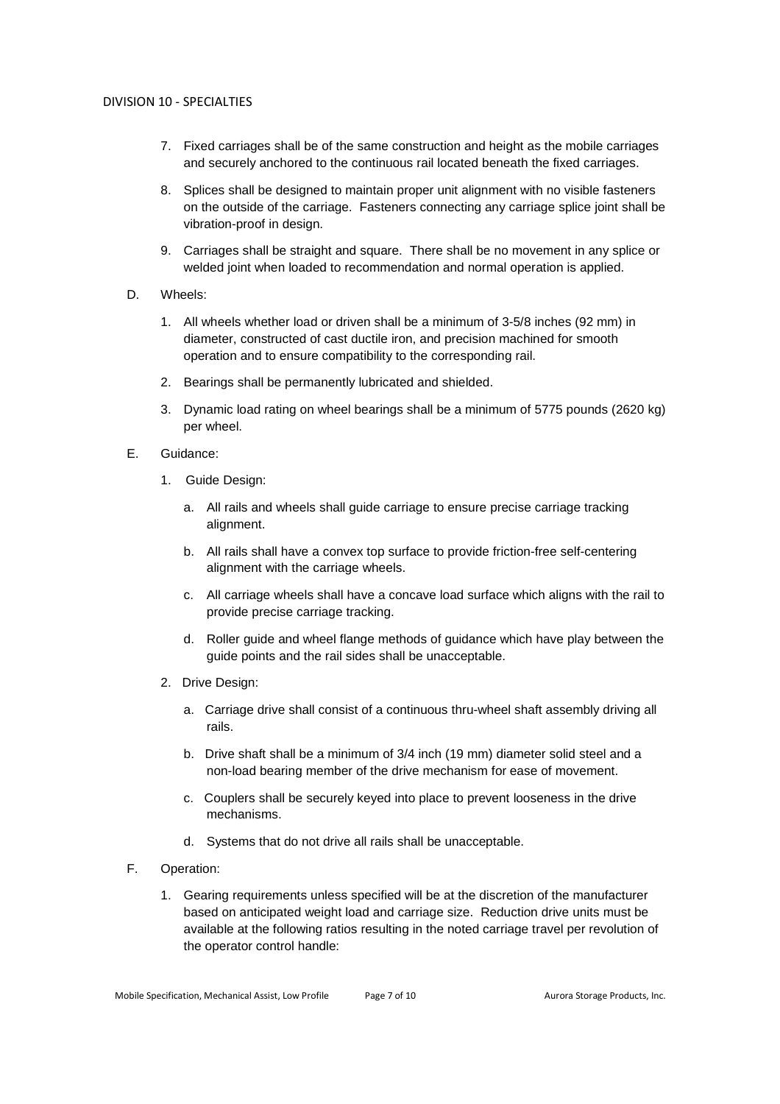- 7. Fixed carriages shall be of the same construction and height as the mobile carriages and securely anchored to the continuous rail located beneath the fixed carriages.
- 8. Splices shall be designed to maintain proper unit alignment with no visible fasteners on the outside of the carriage. Fasteners connecting any carriage splice joint shall be vibration-proof in design.
- 9. Carriages shall be straight and square. There shall be no movement in any splice or welded joint when loaded to recommendation and normal operation is applied.
- D. Wheels:
	- 1. All wheels whether load or driven shall be a minimum of 3-5/8 inches (92 mm) in diameter, constructed of cast ductile iron, and precision machined for smooth operation and to ensure compatibility to the corresponding rail.
	- 2. Bearings shall be permanently lubricated and shielded.
	- 3. Dynamic load rating on wheel bearings shall be a minimum of 5775 pounds (2620 kg) per wheel.
- E. Guidance:
	- 1. Guide Design:
		- a. All rails and wheels shall guide carriage to ensure precise carriage tracking alignment.
		- b. All rails shall have a convex top surface to provide friction-free self-centering alignment with the carriage wheels.
		- c. All carriage wheels shall have a concave load surface which aligns with the rail to provide precise carriage tracking.
		- d. Roller guide and wheel flange methods of guidance which have play between the guide points and the rail sides shall be unacceptable.
	- 2. Drive Design:
		- a. Carriage drive shall consist of a continuous thru-wheel shaft assembly driving all rails.
		- b. Drive shaft shall be a minimum of 3/4 inch (19 mm) diameter solid steel and a non-load bearing member of the drive mechanism for ease of movement.
		- c. Couplers shall be securely keyed into place to prevent looseness in the drive mechanisms.
		- d. Systems that do not drive all rails shall be unacceptable.
- F. Operation:
	- 1. Gearing requirements unless specified will be at the discretion of the manufacturer based on anticipated weight load and carriage size. Reduction drive units must be available at the following ratios resulting in the noted carriage travel per revolution of the operator control handle: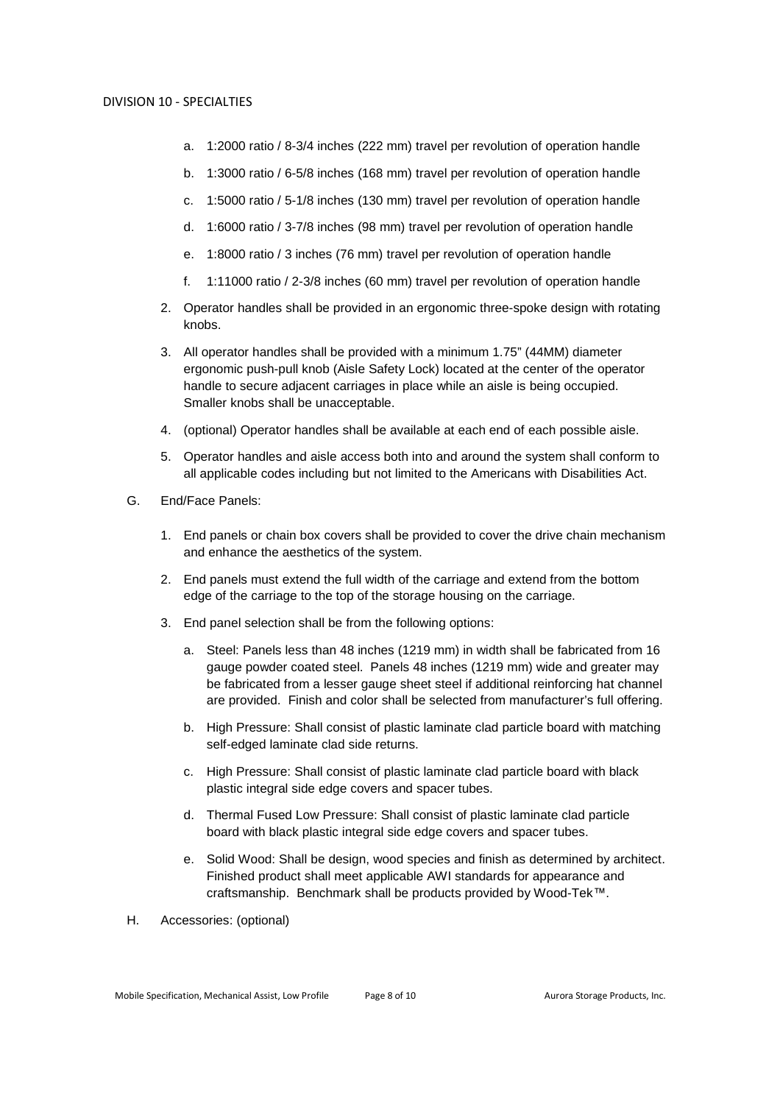- a. 1:2000 ratio / 8-3/4 inches (222 mm) travel per revolution of operation handle
- b. 1:3000 ratio / 6-5/8 inches (168 mm) travel per revolution of operation handle
- c. 1:5000 ratio / 5-1/8 inches (130 mm) travel per revolution of operation handle
- d. 1:6000 ratio / 3-7/8 inches (98 mm) travel per revolution of operation handle
- e. 1:8000 ratio / 3 inches (76 mm) travel per revolution of operation handle
- f. 1:11000 ratio / 2-3/8 inches (60 mm) travel per revolution of operation handle
- 2. Operator handles shall be provided in an ergonomic three-spoke design with rotating knobs.
- 3. All operator handles shall be provided with a minimum 1.75" (44MM) diameter ergonomic push-pull knob (Aisle Safety Lock) located at the center of the operator handle to secure adjacent carriages in place while an aisle is being occupied. Smaller knobs shall be unacceptable.
- 4. (optional) Operator handles shall be available at each end of each possible aisle.
- 5. Operator handles and aisle access both into and around the system shall conform to all applicable codes including but not limited to the Americans with Disabilities Act.
- G. End/Face Panels:
	- 1. End panels or chain box covers shall be provided to cover the drive chain mechanism and enhance the aesthetics of the system.
	- 2. End panels must extend the full width of the carriage and extend from the bottom edge of the carriage to the top of the storage housing on the carriage.
	- 3. End panel selection shall be from the following options:
		- a. Steel: Panels less than 48 inches (1219 mm) in width shall be fabricated from 16 gauge powder coated steel. Panels 48 inches (1219 mm) wide and greater may be fabricated from a lesser gauge sheet steel if additional reinforcing hat channel are provided. Finish and color shall be selected from manufacturer's full offering.
		- b. High Pressure: Shall consist of plastic laminate clad particle board with matching self-edged laminate clad side returns.
		- c. High Pressure: Shall consist of plastic laminate clad particle board with black plastic integral side edge covers and spacer tubes.
		- d. Thermal Fused Low Pressure: Shall consist of plastic laminate clad particle board with black plastic integral side edge covers and spacer tubes.
		- e. Solid Wood: Shall be design, wood species and finish as determined by architect. Finished product shall meet applicable AWI standards for appearance and craftsmanship. Benchmark shall be products provided by Wood-Tek™.
- H. Accessories: (optional)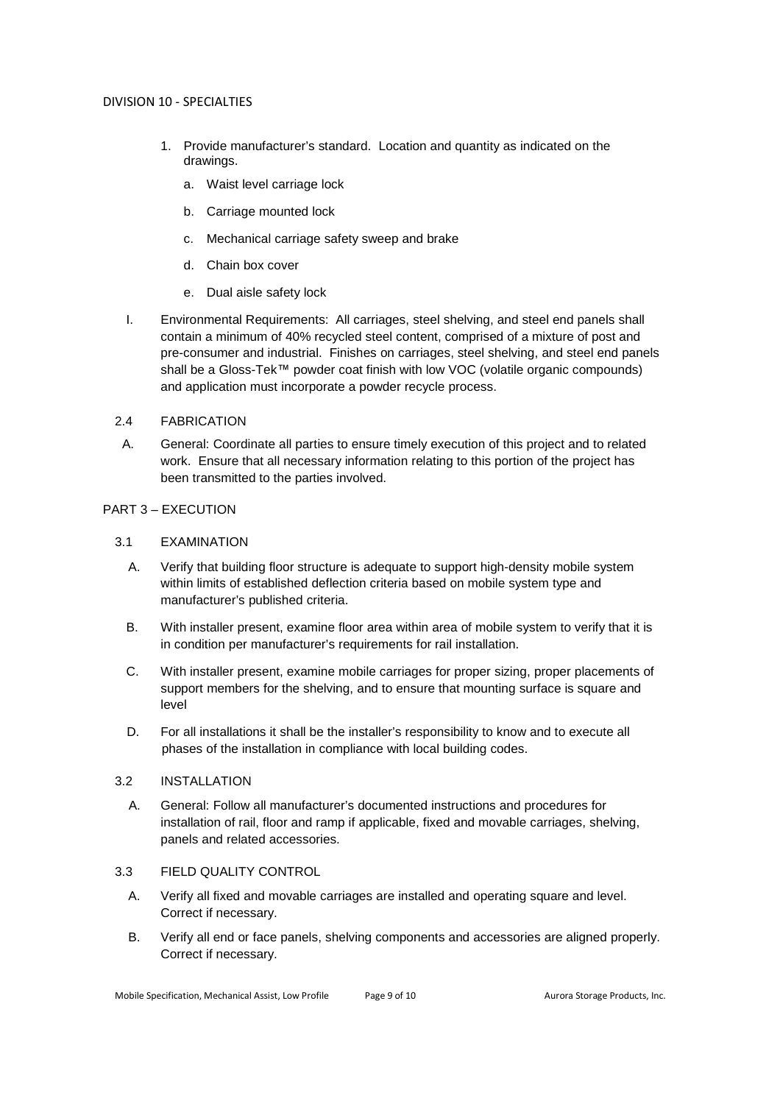- 1. Provide manufacturer's standard. Location and quantity as indicated on the drawings.
	- a. Waist level carriage lock
	- b. Carriage mounted lock
	- c. Mechanical carriage safety sweep and brake
	- d. Chain box cover
	- e. Dual aisle safety lock
- I. Environmental Requirements: All carriages, steel shelving, and steel end panels shall contain a minimum of 40% recycled steel content, comprised of a mixture of post and pre-consumer and industrial. Finishes on carriages, steel shelving, and steel end panels shall be a Gloss-Tek™ powder coat finish with low VOC (volatile organic compounds) and application must incorporate a powder recycle process.

# 2.4 FABRICATION

A. General: Coordinate all parties to ensure timely execution of this project and to related work. Ensure that all necessary information relating to this portion of the project has been transmitted to the parties involved.

# PART 3 – EXECUTION

# 3.1 EXAMINATION

- A. Verify that building floor structure is adequate to support high-density mobile system within limits of established deflection criteria based on mobile system type and manufacturer's published criteria.
- B. With installer present, examine floor area within area of mobile system to verify that it is in condition per manufacturer's requirements for rail installation.
- C. With installer present, examine mobile carriages for proper sizing, proper placements of support members for the shelving, and to ensure that mounting surface is square and level
- D. For all installations it shall be the installer's responsibility to know and to execute all phases of the installation in compliance with local building codes.

# 3.2 INSTALLATION

A. General: Follow all manufacturer's documented instructions and procedures for installation of rail, floor and ramp if applicable, fixed and movable carriages, shelving, panels and related accessories.

# 3.3 FIELD QUALITY CONTROL

- A. Verify all fixed and movable carriages are installed and operating square and level. Correct if necessary.
- B. Verify all end or face panels, shelving components and accessories are aligned properly. Correct if necessary.